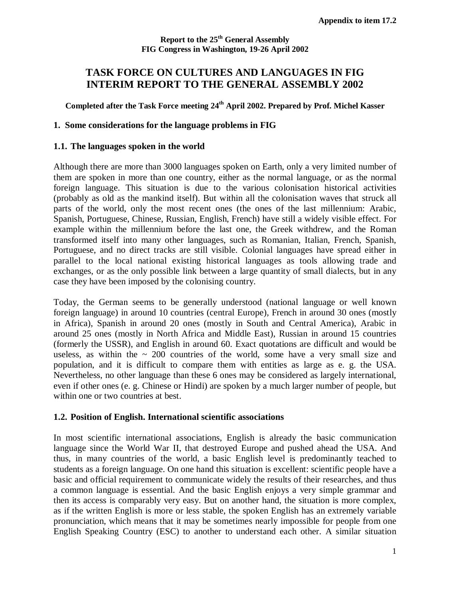**Report to the 25th General Assembly FIG Congress in Washington, 19-26 April 2002**

# **TASK FORCE ON CULTURES AND LANGUAGES IN FIG INTERIM REPORT TO THE GENERAL ASSEMBLY 2002**

**Completed after the Task Force meeting 24th April 2002. Prepared by Prof. Michel Kasser** 

#### **1. Some considerations for the language problems in FIG**

#### **1.1. The languages spoken in the world**

Although there are more than 3000 languages spoken on Earth, only a very limited number of them are spoken in more than one country, either as the normal language, or as the normal foreign language. This situation is due to the various colonisation historical activities (probably as old as the mankind itself). But within all the colonisation waves that struck all parts of the world, only the most recent ones (the ones of the last millennium: Arabic, Spanish, Portuguese, Chinese, Russian, English, French) have still a widely visible effect. For example within the millennium before the last one, the Greek withdrew, and the Roman transformed itself into many other languages, such as Romanian, Italian, French, Spanish, Portuguese, and no direct tracks are still visible. Colonial languages have spread either in parallel to the local national existing historical languages as tools allowing trade and exchanges, or as the only possible link between a large quantity of small dialects, but in any case they have been imposed by the colonising country.

Today, the German seems to be generally understood (national language or well known foreign language) in around 10 countries (central Europe), French in around 30 ones (mostly in Africa), Spanish in around 20 ones (mostly in South and Central America), Arabic in around 25 ones (mostly in North Africa and Middle East), Russian in around 15 countries (formerly the USSR), and English in around 60. Exact quotations are difficult and would be useless, as within the  $\sim 200$  countries of the world, some have a very small size and population, and it is difficult to compare them with entities as large as e. g. the USA. Nevertheless, no other language than these 6 ones may be considered as largely international, even if other ones (e. g. Chinese or Hindi) are spoken by a much larger number of people, but within one or two countries at best.

#### **1.2. Position of English. International scientific associations**

In most scientific international associations, English is already the basic communication language since the World War II, that destroyed Europe and pushed ahead the USA. And thus, in many countries of the world, a basic English level is predominantly teached to students as a foreign language. On one hand this situation is excellent: scientific people have a basic and official requirement to communicate widely the results of their researches, and thus a common language is essential. And the basic English enjoys a very simple grammar and then its access is comparably very easy. But on another hand, the situation is more complex, as if the written English is more or less stable, the spoken English has an extremely variable pronunciation, which means that it may be sometimes nearly impossible for people from one English Speaking Country (ESC) to another to understand each other. A similar situation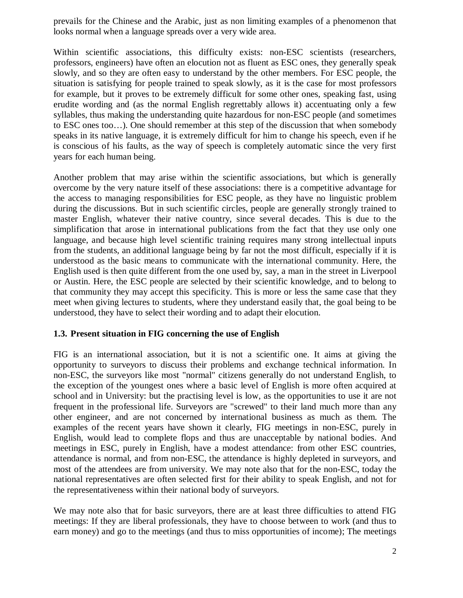prevails for the Chinese and the Arabic, just as non limiting examples of a phenomenon that looks normal when a language spreads over a very wide area.

Within scientific associations, this difficulty exists: non-ESC scientists (researchers, professors, engineers) have often an elocution not as fluent as ESC ones, they generally speak slowly, and so they are often easy to understand by the other members. For ESC people, the situation is satisfying for people trained to speak slowly, as it is the case for most professors for example, but it proves to be extremely difficult for some other ones, speaking fast, using erudite wording and (as the normal English regrettably allows it) accentuating only a few syllables, thus making the understanding quite hazardous for non-ESC people (and sometimes to ESC ones too…). One should remember at this step of the discussion that when somebody speaks in its native language, it is extremely difficult for him to change his speech, even if he is conscious of his faults, as the way of speech is completely automatic since the very first years for each human being.

Another problem that may arise within the scientific associations, but which is generally overcome by the very nature itself of these associations: there is a competitive advantage for the access to managing responsibilities for ESC people, as they have no linguistic problem during the discussions. But in such scientific circles, people are generally strongly trained to master English, whatever their native country, since several decades. This is due to the simplification that arose in international publications from the fact that they use only one language, and because high level scientific training requires many strong intellectual inputs from the students, an additional language being by far not the most difficult, especially if it is understood as the basic means to communicate with the international community. Here, the English used is then quite different from the one used by, say, a man in the street in Liverpool or Austin. Here, the ESC people are selected by their scientific knowledge, and to belong to that community they may accept this specificity. This is more or less the same case that they meet when giving lectures to students, where they understand easily that, the goal being to be understood, they have to select their wording and to adapt their elocution.

### **1.3. Present situation in FIG concerning the use of English**

FIG is an international association, but it is not a scientific one. It aims at giving the opportunity to surveyors to discuss their problems and exchange technical information. In non-ESC, the surveyors like most "normal" citizens generally do not understand English, to the exception of the youngest ones where a basic level of English is more often acquired at school and in University: but the practising level is low, as the opportunities to use it are not frequent in the professional life. Surveyors are "screwed" to their land much more than any other engineer, and are not concerned by international business as much as them. The examples of the recent years have shown it clearly, FIG meetings in non-ESC, purely in English, would lead to complete flops and thus are unacceptable by national bodies. And meetings in ESC, purely in English, have a modest attendance: from other ESC countries, attendance is normal, and from non-ESC, the attendance is highly depleted in surveyors, and most of the attendees are from university. We may note also that for the non-ESC, today the national representatives are often selected first for their ability to speak English, and not for the representativeness within their national body of surveyors.

We may note also that for basic surveyors, there are at least three difficulties to attend FIG meetings: If they are liberal professionals, they have to choose between to work (and thus to earn money) and go to the meetings (and thus to miss opportunities of income); The meetings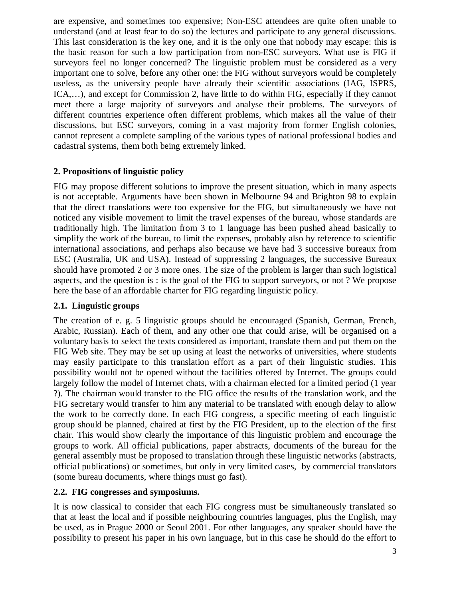are expensive, and sometimes too expensive; Non-ESC attendees are quite often unable to understand (and at least fear to do so) the lectures and participate to any general discussions. This last consideration is the key one, and it is the only one that nobody may escape: this is the basic reason for such a low participation from non-ESC surveyors. What use is FIG if surveyors feel no longer concerned? The linguistic problem must be considered as a very important one to solve, before any other one: the FIG without surveyors would be completely useless, as the university people have already their scientific associations (IAG, ISPRS, ICA,…), and except for Commission 2, have little to do within FIG, especially if they cannot meet there a large majority of surveyors and analyse their problems. The surveyors of different countries experience often different problems, which makes all the value of their discussions, but ESC surveyors, coming in a vast majority from former English colonies, cannot represent a complete sampling of the various types of national professional bodies and cadastral systems, them both being extremely linked.

### **2. Propositions of linguistic policy**

FIG may propose different solutions to improve the present situation, which in many aspects is not acceptable. Arguments have been shown in Melbourne 94 and Brighton 98 to explain that the direct translations were too expensive for the FIG, but simultaneously we have not noticed any visible movement to limit the travel expenses of the bureau, whose standards are traditionally high. The limitation from 3 to 1 language has been pushed ahead basically to simplify the work of the bureau, to limit the expenses, probably also by reference to scientific international associations, and perhaps also because we have had 3 successive bureaux from ESC (Australia, UK and USA). Instead of suppressing 2 languages, the successive Bureaux should have promoted 2 or 3 more ones. The size of the problem is larger than such logistical aspects, and the question is : is the goal of the FIG to support surveyors, or not ? We propose here the base of an affordable charter for FIG regarding linguistic policy.

#### **2.1. Linguistic groups**

The creation of e. g. 5 linguistic groups should be encouraged (Spanish, German, French, Arabic, Russian). Each of them, and any other one that could arise, will be organised on a voluntary basis to select the texts considered as important, translate them and put them on the FIG Web site. They may be set up using at least the networks of universities, where students may easily participate to this translation effort as a part of their linguistic studies. This possibility would not be opened without the facilities offered by Internet. The groups could largely follow the model of Internet chats, with a chairman elected for a limited period (1 year ?). The chairman would transfer to the FIG office the results of the translation work, and the FIG secretary would transfer to him any material to be translated with enough delay to allow the work to be correctly done. In each FIG congress, a specific meeting of each linguistic group should be planned, chaired at first by the FIG President, up to the election of the first chair. This would show clearly the importance of this linguistic problem and encourage the groups to work. All official publications, paper abstracts, documents of the bureau for the general assembly must be proposed to translation through these linguistic networks (abstracts, official publications) or sometimes, but only in very limited cases, by commercial translators (some bureau documents, where things must go fast).

### **2.2. FIG congresses and symposiums.**

It is now classical to consider that each FIG congress must be simultaneously translated so that at least the local and if possible neighbouring countries languages, plus the English, may be used, as in Prague 2000 or Seoul 2001. For other languages, any speaker should have the possibility to present his paper in his own language, but in this case he should do the effort to